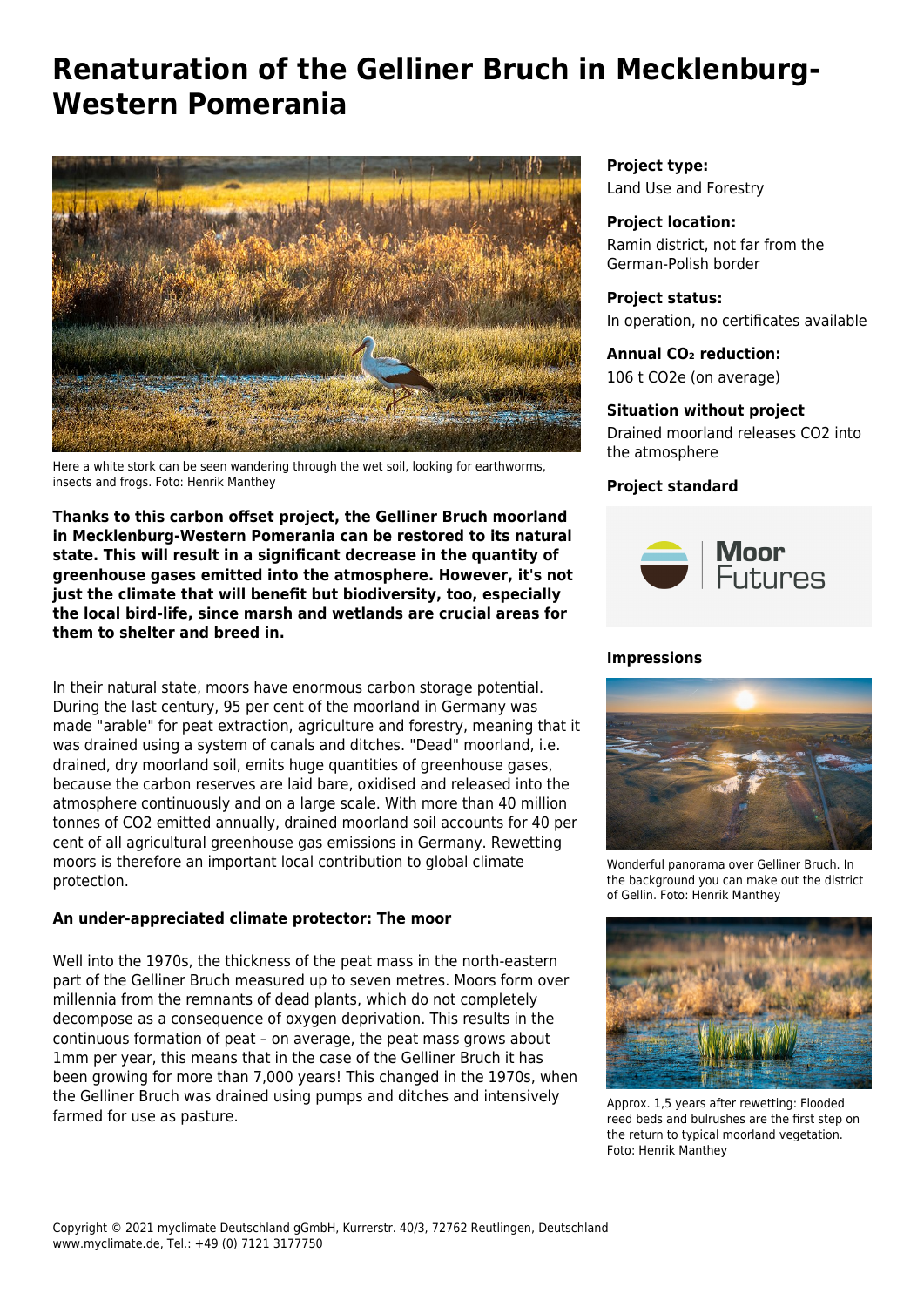# **Renaturation of the Gelliner Bruch in Mecklenburg-Western Pomerania**



Here a white stork can be seen wandering through the wet soil, looking for earthworms, insects and frogs. Foto: Henrik Manthey

**Thanks to this carbon offset project, the Gelliner Bruch moorland in Mecklenburg-Western Pomerania can be restored to its natural state. This will result in a significant decrease in the quantity of greenhouse gases emitted into the atmosphere. However, it's not just the climate that will benefit but biodiversity, too, especially the local bird-life, since marsh and wetlands are crucial areas for them to shelter and breed in.**

In their natural state, moors have enormous carbon storage potential. During the last century, 95 per cent of the moorland in Germany was made "arable" for peat extraction, agriculture and forestry, meaning that it was drained using a system of canals and ditches. "Dead" moorland, i.e. drained, dry moorland soil, emits huge quantities of greenhouse gases, because the carbon reserves are laid bare, oxidised and released into the atmosphere continuously and on a large scale. With more than 40 million tonnes of CO2 emitted annually, drained moorland soil accounts for 40 per cent of all agricultural greenhouse gas emissions in Germany. Rewetting moors is therefore an important local contribution to global climate protection.

#### **An under-appreciated climate protector: The moor**

Well into the 1970s, the thickness of the peat mass in the north-eastern part of the Gelliner Bruch measured up to seven metres. Moors form over millennia from the remnants of dead plants, which do not completely decompose as a consequence of oxygen deprivation. This results in the continuous formation of peat – on average, the peat mass grows about 1mm per year, this means that in the case of the Gelliner Bruch it has been growing for more than 7,000 years! This changed in the 1970s, when the Gelliner Bruch was drained using pumps and ditches and intensively farmed for use as pasture.

**Project type:** Land Use and Forestry

**Project location:** Ramin district, not far from the German-Polish border

**Project status:** In operation, no certificates available

**Annual CO₂ reduction:** 106 t CO2e (on average)

## **Situation without project**

Drained moorland releases CO2 into the atmosphere

### **Project standard**



#### **Impressions**



Wonderful panorama over Gelliner Bruch. In the background you can make out the district of Gellin. Foto: Henrik Manthey



Approx. 1,5 years after rewetting: Flooded reed beds and bulrushes are the first step on the return to typical moorland vegetation. Foto: Henrik Manthey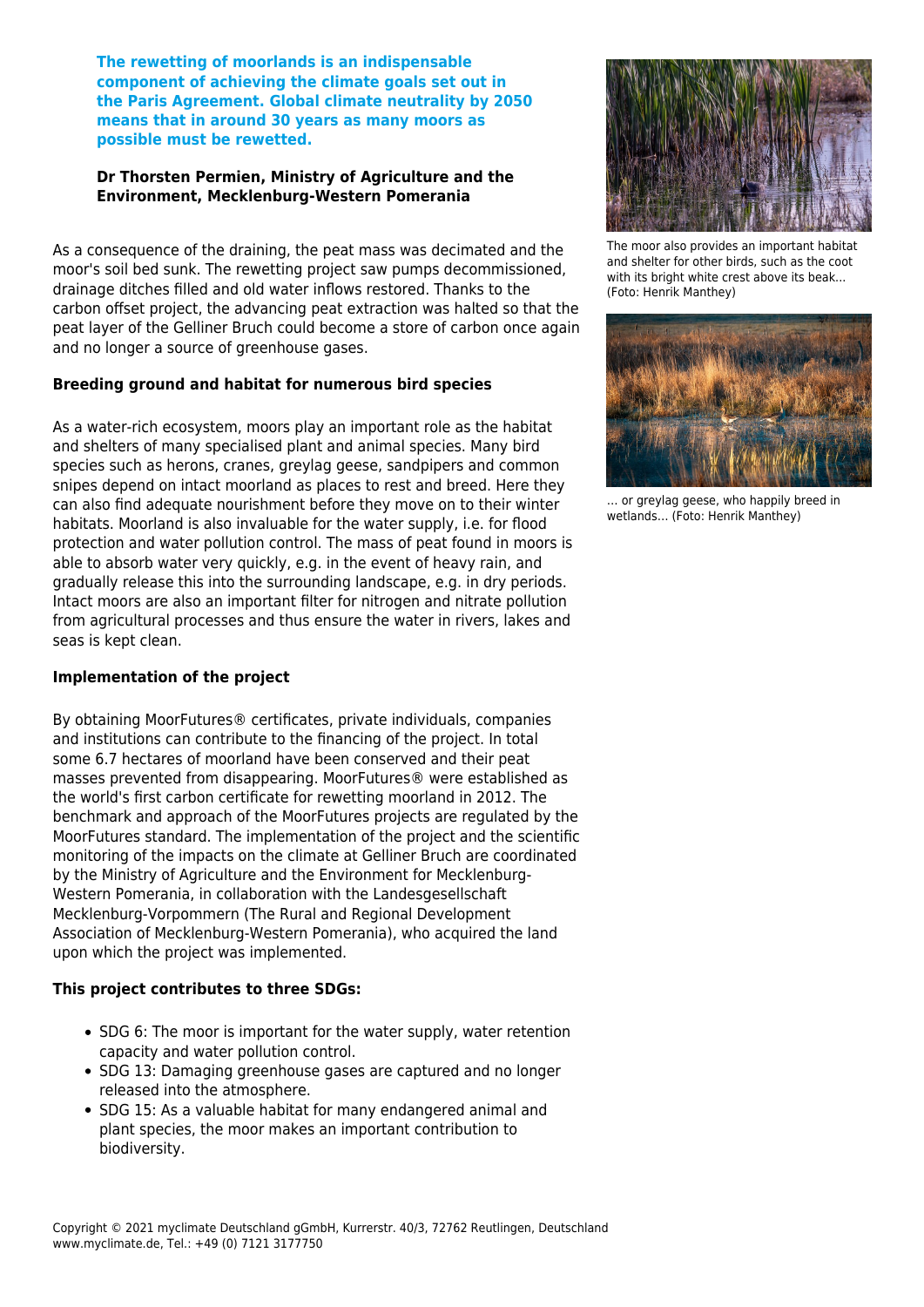**The rewetting of moorlands is an indispensable component of achieving the climate goals set out in the Paris Agreement. Global climate neutrality by 2050 means that in around 30 years as many moors as possible must be rewetted.**

#### **Dr Thorsten Permien, Ministry of Agriculture and the Environment, Mecklenburg-Western Pomerania**

As a consequence of the draining, the peat mass was decimated and the moor's soil bed sunk. The rewetting project saw pumps decommissioned, drainage ditches filled and old water inflows restored. Thanks to the carbon offset project, the advancing peat extraction was halted so that the peat layer of the Gelliner Bruch could become a store of carbon once again and no longer a source of greenhouse gases.

#### **Breeding ground and habitat for numerous bird species**

As a water-rich ecosystem, moors play an important role as the habitat and shelters of many specialised plant and animal species. Many bird species such as herons, cranes, greylag geese, sandpipers and common snipes depend on intact moorland as places to rest and breed. Here they can also find adequate nourishment before they move on to their winter habitats. Moorland is also invaluable for the water supply, i.e. for flood protection and water pollution control. The mass of peat found in moors is able to absorb water very quickly, e.g. in the event of heavy rain, and gradually release this into the surrounding landscape, e.g. in dry periods. Intact moors are also an important filter for nitrogen and nitrate pollution from agricultural processes and thus ensure the water in rivers, lakes and seas is kept clean.

#### **Implementation of the project**

By obtaining MoorFutures® certificates, private individuals, companies and institutions can contribute to the financing of the project. In total some 6.7 hectares of moorland have been conserved and their peat masses prevented from disappearing. MoorFutures® were established as the world's first carbon certificate for rewetting moorland in 2012. The benchmark and approach of the MoorFutures projects are regulated by the MoorFutures standard. The implementation of the project and the scientific monitoring of the impacts on the climate at Gelliner Bruch are coordinated by the Ministry of Agriculture and the Environment for Mecklenburg-Western Pomerania, in collaboration with the Landesgesellschaft Mecklenburg-Vorpommern (The Rural and Regional Development Association of Mecklenburg-Western Pomerania), who acquired the land upon which the project was implemented.

#### **This project contributes to three SDGs:**

- SDG 6: The moor is important for the water supply, water retention capacity and water pollution control.
- SDG 13: Damaging greenhouse gases are captured and no longer released into the atmosphere.
- SDG 15: As a valuable habitat for many endangered animal and plant species, the moor makes an important contribution to biodiversity.



The moor also provides an important habitat and shelter for other birds, such as the coot with its bright white crest above its beak... (Foto: Henrik Manthey)



… or greylag geese, who happily breed in wetlands… (Foto: Henrik Manthey)